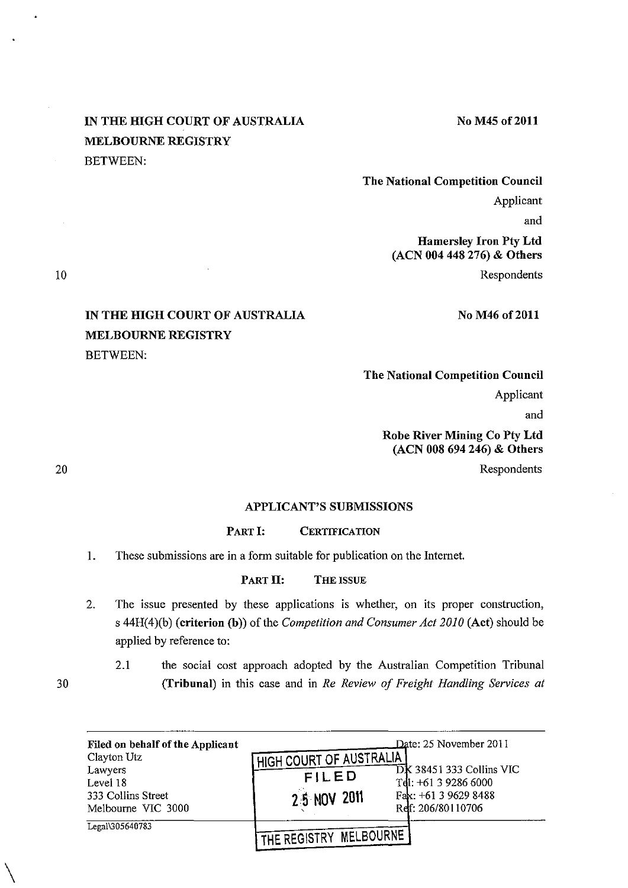# No M45 of 2011

# IN THE HIGH COURT OF AUSTRALIA MELBOURNE REGISTRY BETWEEN:

# The National Competition Council Applicant and

Hamersley Iron Pty Ltd (ACN 004 448 276) & Others

Respondents

No M46 of 2011

# IN THE HIGH COURT OF AUSTRALIA MELBOURNE REGISTRY

BETWEEN:

# The National Competition Council Applicant and Robe River Mining Co Pty Ltd (ACN 008 694 246) & Others Respondents

20

10

#### APPLICANT'S SUBMISSIONS

#### PART I: CERTIFICATION

1. These submissions are in a form suitable for publication on the Internet.

# PART II: THE ISSUE

- 2. The issue presented by these applications is whether, on its proper construction, s 44H(4)(b) (criterion (b)) of the *Competition and Consumer Act 2010* (Act) should be applied by reference to:
- 30

 $\setminus$ 

2.1 the social cost approach adopted by the Australian Competition Tribunal (Tribunal) in this case and in *Re Review of Freight Handling Services at* 

| Filed on behalf of the Applicant<br>Clayton Utz<br>Lawyers<br>Level 18<br>333 Collins Street<br>Melbourne VIC 3000<br>Legal\305640783 | <b>'HIGH COURT OF AUSTRALIA.</b><br><b>FILED</b> | Date: 25 November 2011<br>$\overline{D}$ K 38451 333 Collins VIC<br>Tdl: +61 3 9286 6000 |
|---------------------------------------------------------------------------------------------------------------------------------------|--------------------------------------------------|------------------------------------------------------------------------------------------|
|                                                                                                                                       | 2 5 NOV 2011<br><b>'THE REGISTRY MELBOURNE .</b> | Fax: +61 3 9629 8488<br>Ref: 206/80110706                                                |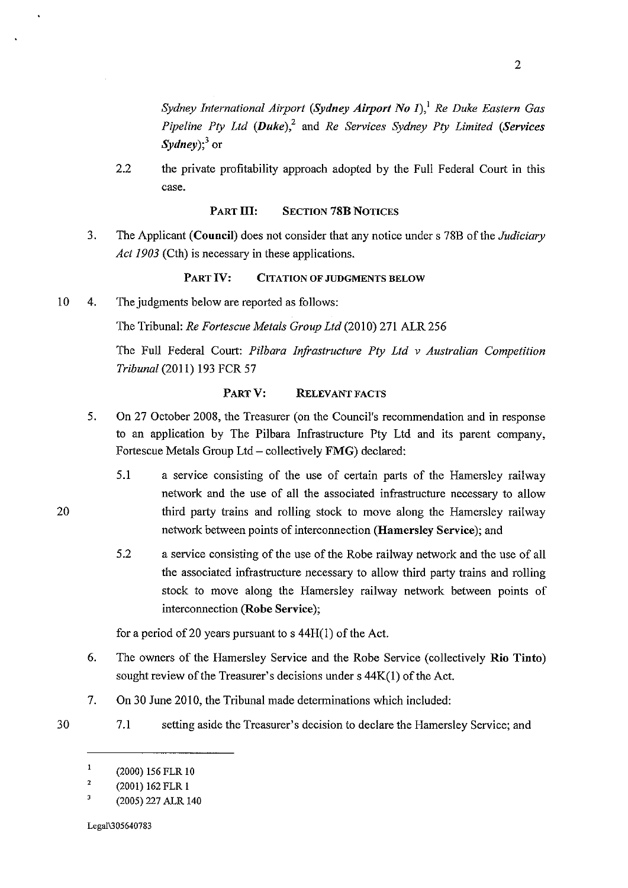*Sydney International Airport (Sydney Airport No 1)*,<sup>1</sup> Re Duke Eastern Gas *Pipeline Pty Ltd (JJuke),<sup>2</sup>*and *Re Services Sydney Pty Limited (Services Sydney);3* or

2.2 the private profitability approach adopted by the Full Federal Court in this case.

## PART III: SECTION 78B NOTICES

3. The Applicant (Council) does not consider that any notice under s 78B of the *Judiciary Act 1903* (Cth) is necessary in these applications.

# PART IV: CITATION OF JUDGMENTS BELOW

10 4. The judgments below are reported as follows:

The Tribunal: *Re Fortescue Metals Group Ltd* (2010) 271 ALR 256

The Full Federal Court: *Pilbara Infrastructure Pty Ltd v Australian Competition Tribunal* (2011) 193 FCR 57

# PART V: RELEVANT FACTS

- 5. On 27 October 2008, the Treasurer (on the Council's recommendation and in response to an application by The Pilbara Infrastructure Pty Ltd and its parent company, Fortescue Metals Group Ltd- collectively FMG) declared:
	- 5.1 a service consisting of the use of certain parts of the Hamersley railway network and the use of all the associated infrastructure necessary to allow third party trains and rolling stock to move along the Hamersley railway network between points of interconnection (Hamersley Service); and
		- 5.2 a service consisting of the use of the Robe railway network and the use of all the associated infrastructure necessary to allow third party trains and rolling stock to move along the Hamersley railway network between points of interconnection (Robe Service);

for a period of 20 years pursuant to s  $44H(1)$  of the Act.

- 6. The owners of the Hamersley Service and the Robe Service (collectively Rio Tinto) sought review of the Treasurer's decisions under  $s$  44 $K(1)$  of the Act.
- 7. On 30 June 2010, the Tribunal made determinations which included:
- 30 7.1 setting aside the Treasurer's decision to declare the Hamersley Service; and

 $\mathbf{1}$ (2000) 156 FLR 10

<sup>2</sup>  (2001) 162 FLR 1

 $\overline{3}$ (2005) 227 ALR 140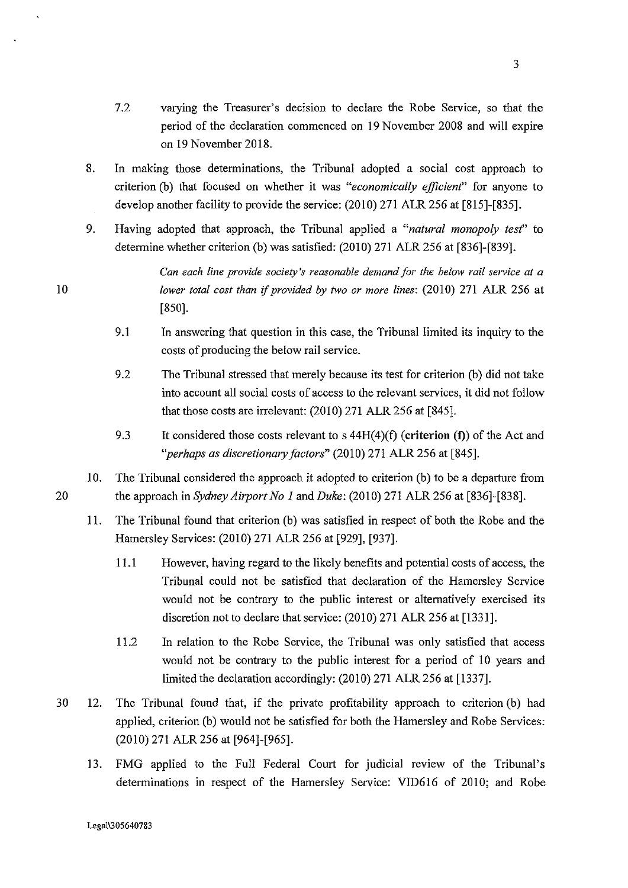- 7.2 varying the Treasurer's decision to declare the Robe Service, so that the period of the declaration commenced on 19 November 2008 and will expire on 19 November 2018.
- 8. In making those determinations, the Tribunal adopted a social cost approach to criterion (b) that focused on whether it was *"economically efficient'* for anyone to develop another facility to provide the service: (2010) 271 ALR 256 at [815]-[835].
- 9. Having adopted that approach, the Tribunal applied a *"natural monopoly test"* to determine whether criterion (b) was satisfied: (2010) 271 ALR 256 at [836]-[839].

*Can each line provide society's reasonable demand for the below rail service at a*  10 *lower total cost than* if *provided by two or more lines:* (2010) 271 ALR 256 at [850].

- 9.1 In answering that question in this case, the Tribunal limited its inquiry to the costs of producing the below rail service.
- 9.2 The Tribunal stressed that merely because its test for criterion (b) did not take into account all social costs of access to the relevant services, it did not follow that those costs are irrelevant: (2010) 271 ALR 256 at [845].
- 9.3 It considered those costs relevant to s 44H(4)(f) **(criterion (t))** of the Act and "*perhaps as discretionary factors*" (2010) 271 ALR 256 at [845].
- 10. The Tribunal considered the approach it adopted to criterion (b) to be a departure from 20 the approach in *Sydney Airport No 1* and *Duke:* (2010) 271 ALR 256 at [836]-[838].
	- 11. The Tribunal found that criterion (b) was satisfied in respect of both the Robe and the Hamersley Services: (2010) 271 ALR256 at [929], [937].
		- 11.1 However, having regard to the likely benefits and potential costs of access, the Tribunal could not be satisfied that declaration of the Hamersley Service would not be contrary to the public interest or alternatively exercised its discretion not to declare that service: (2010) 271 ALR 256 at [1331].
		- 11.2 In relation to the Robe Service, the Tribunal was only satisfied that access would not be contrary to the public interest for a period of 10 years and limited the declaration accordingly: (2010) 271 ALR 256 at [1337].
- 30 12. The Tribunal found that, if the private profitability approach to criterion (b) had applied, criterion (b) would not be satisfied for both the Hamersley and Robe Services: (2010) 271 ALR 256 at [964]-[965].
	- 13. FMG applied to the Full Federal Court for judicial review of the Tribunal's determinations in respect of the Hamersley Service: VID616 of 2010; and Robe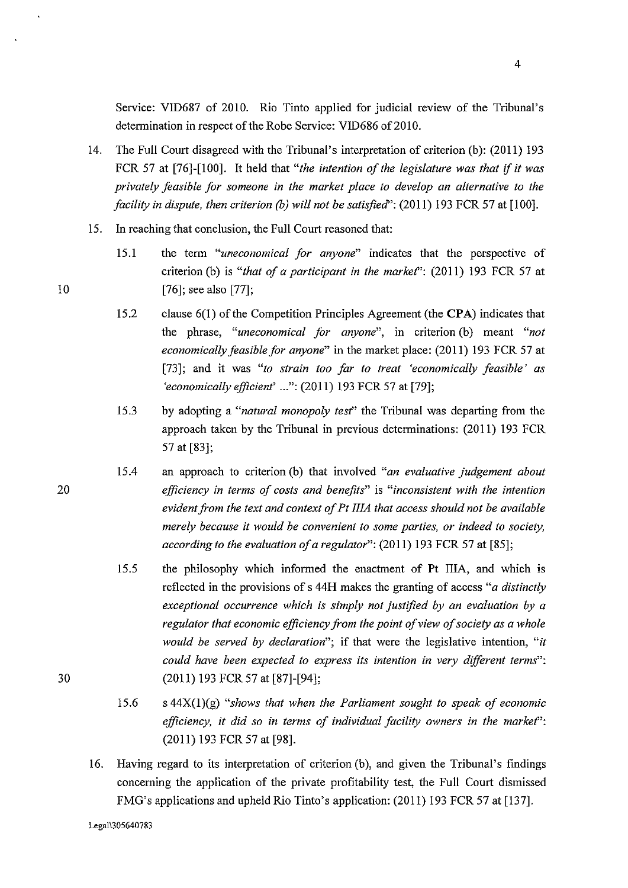Service: VID687 of 2010. Rio Tinto applied for judicial review of the Tribunal's determination in respect of the Robe Service: VID686 of 2010.

- 14. The Full Court disagreed with the Tribunal's interpretation of criterion (b): (2011) 193 FCR 57 at [76]-[100]. It held that *"the intention of the legislature was that* if *it was privately feasible for someone in the market place to develop an alternative to the facility in dispute, then criterion (b) will not be satisfied*": (2011) 193 FCR 57 at [100].
- 15. In reaching that conclusion, the Full Court reasoned that:
	- 15.1 the term *"uneconomical for anyone"* indicates that the perspective of criterion (b) is *"that of a participant in the market":* (2011) 193 FCR 57 at [76]; see also [77];
	- 15.2 clause 6(1) of the Competition Principles Agreement (the **CPA)** indicates that the phrase, *"uneconomical for anyone",* in criterion (b) meant *"not economically feasible for anyone*" in the market place: (2011) 193 FCR 57 at [73]; and it was *"to strain too far to treat 'economically feasible' as 'economically efficient' ... ":* (2011) 193 FCR 57 at [79];
	- 15.3 by adopting a *"natural monopoly tesf'* the Tribunal was departing from the approach taken by the Tribunal in previous determinations: (2011) 193 FCR 57 at [83];
	- 15.4 an approach to criterion (b) that involved *"an evaluative judgement about efficiency in terms of costs and benefits"* is *"inconsistent with the intention evident from the text and context of Pt IliA that access should not be available merely because it would be convenient to some parties, or indeed to society, according to the evaluation of a regulator":* (2011) 193 FCR 57 at [85];
	- 15.5 the philosophy which informed the enactment of Pt IIIA, and which is reflected in the provisions of s 44H makes the granting of access *"a distinctly exceptional occurrence which is simply not justified by an evaluation by a regulator that economic efficiency from the point of view of society as a whole would be served by declaration";* if that were the legislative intention, *"it could have been expected to express its intention in very different terms":*  (2011) 193 FCR 57 at [87]-[94];
	- 15.6 s 44X(l)(g) *"shows that when the Parliament sought to speak of economic efficiency, it did so in terms of individual facility owners in the market":*  (2011) 193 FCR 57 at [98].
- 16. Having regard to its interpretation of criterion (b), and given the Tribunal's findings concerning the application of the private profitability test, the Full Court dismissed FMG's applications and upheld Rio Tinto's application: (2011) 193 FCR 57 at [137].

10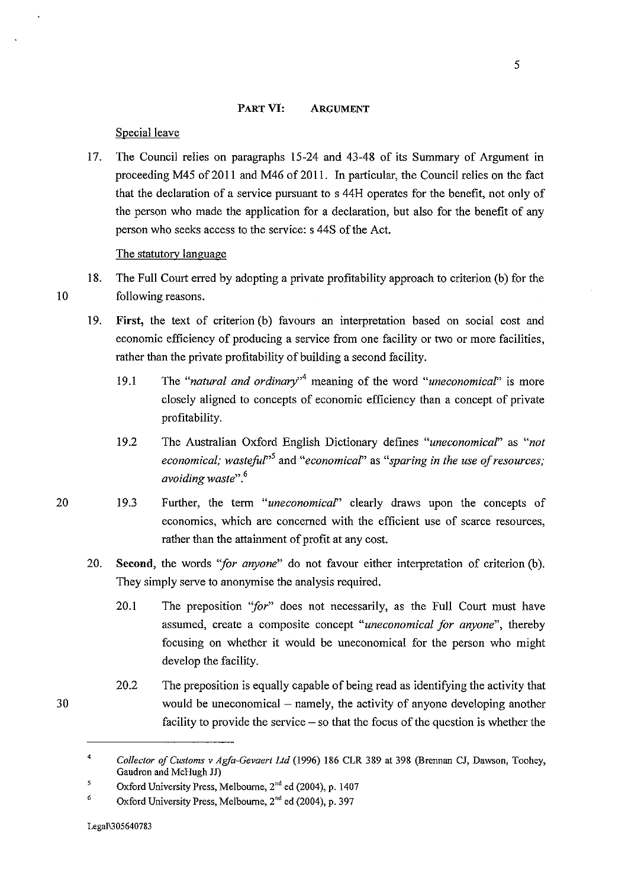#### PART VI: ARGUMENT

#### Special leave

17. The Council relies on paragraphs 15-24 and 43-48 of its Summary of Argument in proceeding M45 of 2011 and M46 of 2011. In particular, the Council relies on the fact that the declaration of a service pursuant to s 44H operates for the benefit, not only of the person who made the application for a declaration, but also for the benefit of any person who seeks access to the service: s 44S of the Act.

#### The statutory language

- 18. The Full Court erred by adopting a private profitability approach to criterion (b) for the 10 following reasons.
	- 19. First, the text of criterion (b) favours an interpretation based on social cost and economic efficiency of producing a service from one facility or two or more facilities, rather than the private profitability of building a second facility.
		- 19.1 The *"natural and ordinary"*<sup>4</sup>meaning of the word *"uneconomicaf'* is more closely aligned to concepts of economic efficiency than a concept of private profitability.
		- 19.2 The Australian Oxford English Dictionary defines *"uneconomicaf'* as *"not economical; wastefuf'<sup>5</sup>*and *"economical"* as *"sparing in the use of resources; avoiding waste"* . 6
	- 19.3 Further, the term *"uneconomicaf'* clearly draws upon the concepts of economics, which are concerned with the efficient use of scarce resources, rather than the attainment of profit at any cost.
		- 20. Second, the words *"for anyone"* do not favour either interpretation of criterion (b). They simply serve to anonymise the analysis required.
			- 20.1 The preposition *"for"* does not necessarily, as the Full Court must have assumed, create a composite concept *"uneconomical for anyone",* thereby focusing on whether it would be uneconomical for the person who might develop the facility.
			- 20.2 The preposition is equally capable of being read as identifying the activity that would be uneconomical – namely, the activity of anyone developing another facility to provide the service  $-$  so that the focus of the question is whether the

20

<sup>4</sup>  *Collector of Customs v Agfa-Gevaert Ltd* (1996) 186 CLR 389 at 398 (Brennan CJ, Dawson, Toohey, Gaudron and McHugh JJ)

 $\bar{\mathbf{s}}$ Oxford University Press, Melbourne, 2<sup>nd</sup> ed (2004), p. 1407

<sup>6</sup>  Oxford University Press, Melbourne, 2<sup>nd</sup> ed (2004), p. 397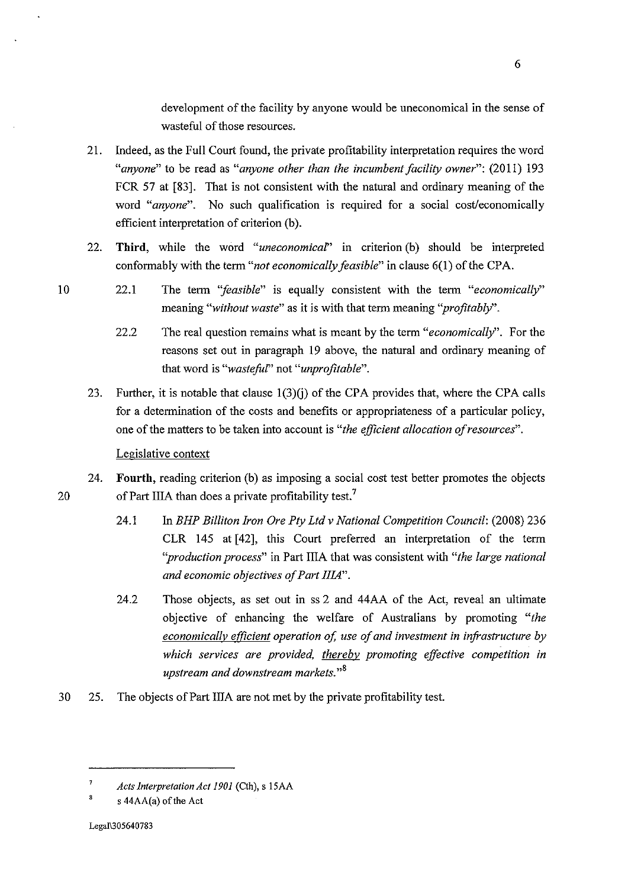development of the facility by anyone would be uneconomical in the sense of wasteful of those resources.

- 21. Indeed, as the Full Court found, the private profitability interpretation requires the word *"anyone"* to be read as *"anyone other than the incumbent facility owner":* (2011) 193 FCR 57 at [83]. That is not consistent with the natural and ordinary meaning of the word *"anyone".* No such qualification is required for a social cost/economically efficient interpretation of criterion (b).
- 22. **Third,** while the word "*uneconomical*" in criterion (b) should be interpreted conformably with the term *"not economically feasible"* in clause 6(1) of the CPA.
- 22.1 The term *"feasible"* is equally consistent with the term *"economically"*  meaning *"without waste"* as it is with that term meaning *"profitably".* 
	- 22.2 The real question remains what is meant by the term *"economically".* For the reasons set out in paragraph 19 above, the natural and ordinary meaning of that word is *"wastejitf'* not *"unprofitable".*
- 23. Further, it is notable that clause 1(3)(j) of the CPA provides that, where the CPA calls for a determination of the costs and benefits or appropriateness of a particular policy, one of the matters to be taken into account is *"the efficient allocation of resources".*

Legislative context

- 24. **Fourth,** reading criterion (b) as imposing a social cost test better promotes the objects 20 of Part IIIA than does a private profitability test.<sup>7</sup>
	- 24.1 In *BHP Billiton Iron Ore Pty Ltd v National Competition Council:* (2008) 236 CLR 145 at [42], this Court preferred an interpretation of the term *"production process"* in Part IIIA that was consistent with *"the large national and economic objectives of Part IliA".*
	- 24.2 Those objects, as set out in ss 2 and 44AA of the Act, reveal an ultimate objective of enhancing the welfare of Australians by promoting *"the economically efficient operation of, use of and investment in infrastructure by which services are provided, thereby promoting effective competition in upstream and downstream markets.* "<sup>8</sup>
- 30 25. The objects of Part IIIA are not met by the private profitability test.

*Acts 1nterpretationAct 1901* (Cth), s 15AA

s 44AA(a) of the Act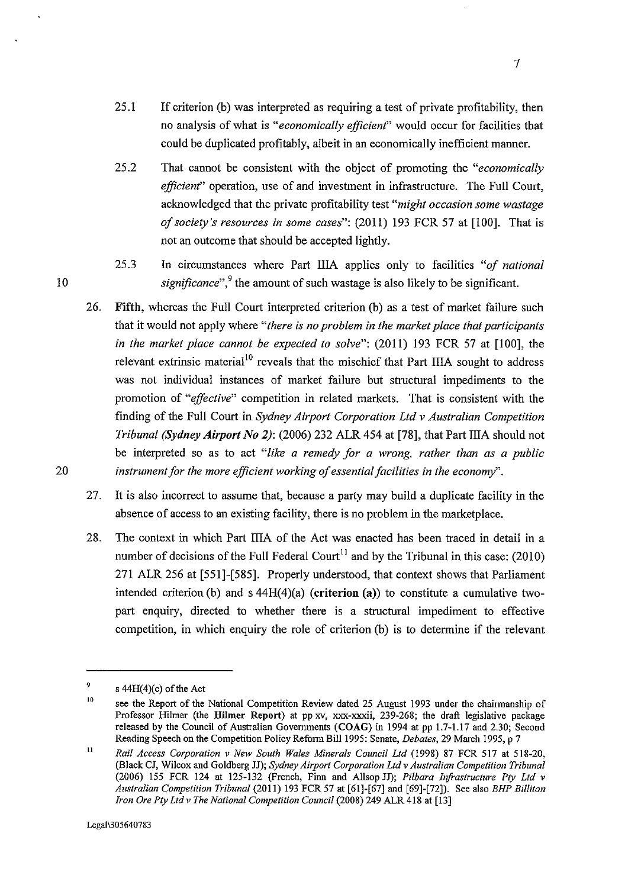- 25.1 If criterion (b) was interpreted as requiring a test of private profitability, then no analysis of what is *"economically efficient"* would occur for facilities that could be duplicated profitably, albeit in an economically inefficient manner.
- 25.2 That cannot be consistent with the object of promoting the *"economically efficienf'* operation, use of and investment in infrastructure. The Full Court, acknowledged that the private profitability test *"might occasion some wastage of society's resources in some cases":* (2011) 193 FCR 57 at [100]. That is not an outcome that should be accepted lightly.
- 25.3 In circumstances where Part IIIA applies only to facilities *"of national significance",<sup>9</sup>*the amount of such wastage is also likely to be significant.
- 26. **Fifth,** whereas the Full Court interpreted criterion (b) as a test of market failure such that it would not apply where *"there* is *no problem* in *the market place that participants*  in *the market place cannot be expected to solve":* (2011) 193 FCR 57 at [100], the relevant extrinsic material<sup>10</sup> reveals that the mischief that Part IIIA sought to address was not individual instances of market failure but structural impediments to the promotion of *"effective"* competition in related markets. That is consistent with the finding of the Full Court in *Sydney Airport Corporation Ltd v Australian Competition Tribunal (Sydney Airport No 2):* (2006) 232 ALR 454 at [78], that Part IIIA should not be interpreted so as to act *"like a remedy for a wrong, rather than as a public*  20 *instrument for the more efficient working of essential facilities* in *the economy".* 
	- 27. It is also incorrect to assume that, because a party may build a duplicate facility in the absence of access to an existing facility, there is no problem in the marketplace.
	- 28. The context in which Part IIIA of the Act was enacted has been traced in detail in a number of decisions of the Full Federal Court<sup>11</sup> and by the Tribunal in this case:  $(2010)$ 271 ALR 256 at [551]-[585]. Properly understood, that context shows that Parliament intended criterion (b) and s 44H(4)(a) **(criterion** (a)) to constitute a cumulative twopart enquiry, directed to whether there is a structural impediment to effective competition, in which enquiry the role of criterion (b) is to determine if the relevant

<sup>9</sup>  s  $44H(4)(c)$  of the Act

<sup>10</sup>  see the Report of the National Competition Review dated 25 August 1993 under the chairmanship of Professor Hilmer (the Hilmer Report) at pp xv, xxx-xxxii, 239-268; the draft legislative package released by the Council of Australian Governments (COAG) in 1994 at pp 1.7-1.17 and 2.30; Second Reading Speech on the Competition Policy Reform Billl995: Senate, *Debates,* 29 March 1995, p 7

II *Rail Access Corporation v New South Wales Minerals Council Ltd* (1998) 87 FCR 517 at 518-20, (Black CJ, Wilcox and Goldberg JJ); *Sydney Airport Corporation Ltd v Australian Competition Tribunal*  (2006) 155 FCR 124 at 125-132 (French, Finn and Allsop JJ); *Pilbara Infrastructure Pty Ltd v Australian Competition Tribunal* (2011) 193 FCR 57 at [61]·[67] and [69]·[72]). See also *BHP Billiton Iron Ore Pty Ltd v The National Competition Council* (2008) 249 ALR 418 at [13]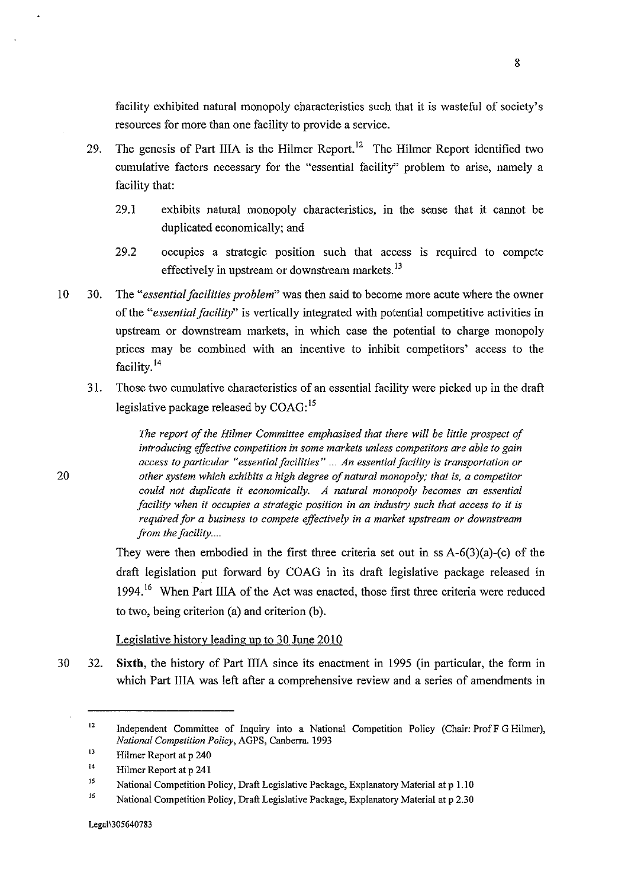facility exhibited natural monopoly characteristics such that it is wasteful of society's resources for more than one facility to provide a service.

- 29. The genesis of Part IIIA is the Hilmer Report,  $12$  The Hilmer Report identified two cumulative factors necessary for the "essential facility" problem to arise, namely a facility that:
	- 29.1 exhibits natural monopoly characteristics, m the sense that it cannot be duplicated economically; and
	- 29.2 occupies a strategic position such that access is required to compete effectively in upstream or downstream markets.<sup>13</sup>
- 10 30. The *"essential facilities problem"* was then said to become more acute where the owner of the *"essential facility"* is vertically integrated with potential competitive activities in upstream or downstream markets, in which case the potential to charge monopoly prices may be combined with an incentive to inhibit competitors' access to the facility.<sup>14</sup>
	- 31. Those two cumulative characteristics of an essential facility were picked up in the draft legislative package released by COAG:<sup>15</sup>

*The report of the Hilmer Committee emphasised that there will be little prospect of introducing effective competition in some markets unless competitors are able to gain access to particular "essential facilities"* ... *An essential facility is transportation or*  20 *other system which exhibits a high degree of natural monopoly; that is, a competitor could not duplicate it economically. A natural monopoly becomes an essential facility when it occupies a strategic position in an industry such that access to it is required for a business to compete effectively in a market upstream or downstream from the facility ....* 

> They were then embodied in the first three criteria set out in ss  $A-6(3)(a)-(c)$  of the draft legislation put forward by COAG in its draft legislative package released in 1994.<sup>16</sup> When Part IIIA of the Act was enacted, those first three criteria were reduced to two, being criterion (a) and criterion (b).

# Legislative history leading up to 30 June 2010

30 32. **Sixth,** the history of Part IliA since its enactment in 1995 (in particular, the form in which Part IliA was left after a comprehensive review and a series of amendments in

<sup>12</sup>  Independent Committee of Inquiry into a National Competition Policy (Chair: ProfF G Hilmer), *National Competition Policy,* AGPS, Canberra. 1993

<sup>13</sup>  Hilmer Report at p 240

<sup>14</sup>  Hilmer Report at p 241

<sup>15</sup>  National Competition Policy, Draft Legislative Package, Explanatory Material at p 1.10

<sup>16</sup>  National Competition Policy, Draft Legislative Package, Explanatory Material at p 2.30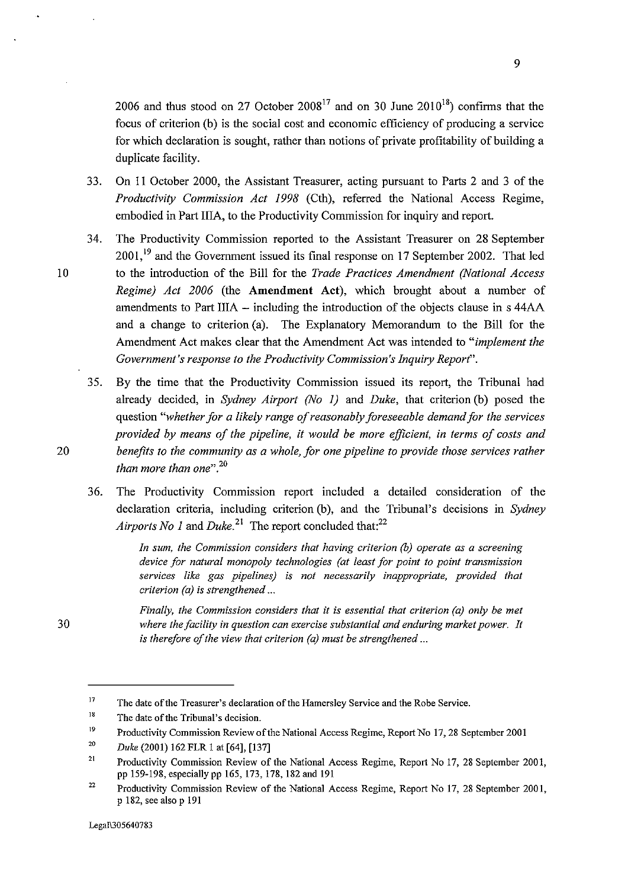2006 and thus stood on 27 October  $2008^{17}$  and on 30 June  $2010^{18}$ ) confirms that the focus of criterion (b) is the social cost and economic efficiency of producing a service for which declaration is sought, rather than notions of private profitability of building a duplicate facility.

- 33. On 11 October 2000, the Assistant Treasurer, acting pursuant to Parts 2 and 3 of the *Productivity Commission Act I998* (Cth), referred the National Access Regime, embodied in Part IliA, to the Productivity Commission for inquiry and report.
- 34. The Productivity Commission reported to the Assistant Treasurer on 28 September  $2001<sup>19</sup>$  and the Government issued its final response on 17 September 2002. That led
- 10 to the introduction of the Bill for the *Trade Practices Amendment (National Access Regime) Act 2006* (the **Amendment Act),** which brought about a number of amendments to Part IIIA  $-$  including the introduction of the objects clause in  $s$  44AA and a change to criterion (a). The Explanatory Memorandum to the Bill for the Amendment Act makes clear that the Amendment Act was intended to *"implement the Government's response to the Productivity Commission's Inquiry Report".*
- 35. By the time that the Productivity Commission issued its report, the Tribunal had already decided, in *Sydney Airport (No I)* and *Duke,* that criterion (b) posed the question *"whether for a likely range of reasonably foreseeable demand for the services provided by means of the pipeline,* it *would be more efficient, in terms of costs and*  20 *benefits to the community as a whole, for one pipeline to provide those services rather than more than one".* <sup>20</sup>
	- 36. The Productivity Commission report included a detailed consideration of the declaration criteria, including criterion (b), and the Tribunal's decisions in *Sydney Airports No 1* and *Duke*.<sup>21</sup> The report concluded that:<sup>22</sup>

*In sum, the Commission considers that having criterion (b) operate as a screening device for natural monopoly technologies (at least for point to point transmission services like gas pipelines) is not necessarily inappropriate, provided that criterion (a) is strengthened ...* 

*Finally, the Commission considers that it is essential that criterion (a) only be met where the facility in question can exercise substantial and enduring market power. It is therefore of the view that criterion (a) must be strengthened ...* 

<sup>17</sup>  **The date of the Treasurer's declaration of the Hamersley Service and the Robe Service.** 

<sup>18</sup>  The date of the Tribunal's decision.

<sup>\9</sup>  Productivity Commission Review of the National Access Regime, Report No 17, 28 September 2001

<sup>20</sup>  *Duke* (2001) 162 FLR I at [64], [137]

<sup>21</sup>  Productivity Commission Review of the National Access Regime, Report No 17, 28 September 2001, pp 159-198, especially pp 165, 173, 178, 182 and 191

<sup>22</sup>  Productivity Commission Review of the National Access Regime, Report No 17, 28 September 2001, p 182, see alsop 191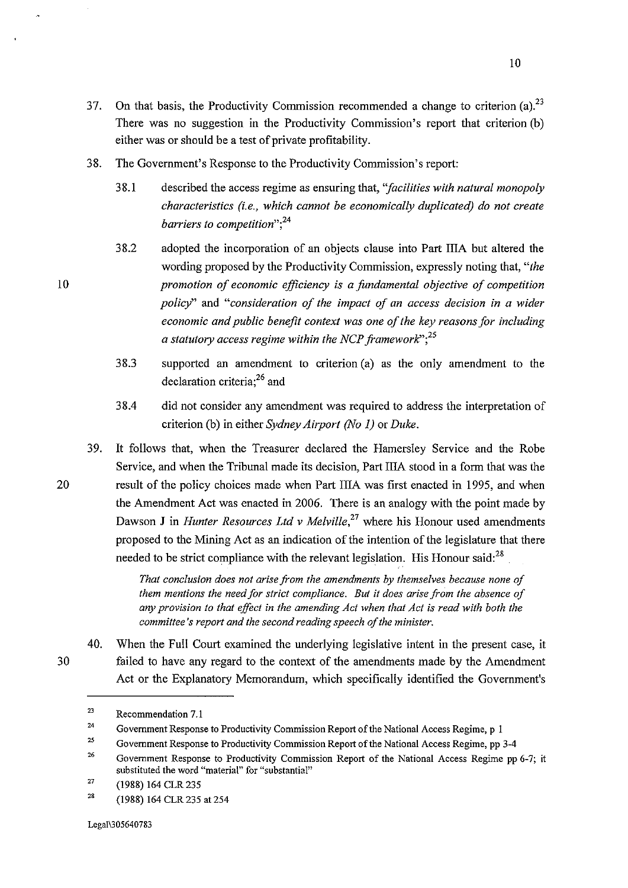- 37. On that basis, the Productivity Commission recommended a change to criterion (a).<sup>23</sup> There was no suggestion in the Productivity Commission's report that criterion (b) either was or should be a test of private profitability.
- 38. The Government's Response to the Productivity Commission's report:
	- 3 8.1 described the access regime as ensuring that, *"facilities with natural monopoly characteristics (i.e., which cannot be economically duplicated) do not create barriers to competition";<sup>24</sup>*
	- 38.2 adopted the incorporation of an objects clause into Part IliA but altered the wording proposed by the Productivity Commission, expressly noting that, *"the promotion of economic efficiency is a fundamental objective of competition policy"* and *"consideration of the impact of an access decision in a wider economic and public benefit context was one of the key reasons for including a statutory access regime within the NCP framework*<sup>325</sup>
	- 38.3 supported an amendment to criterion (a) as the only amendment to the declaration criteria;26 and
	- 38.4 did not consider any amendment was required to address the interpretation of criterion (b) in either *Sydney Airport (No 1)* or *Duke.*
- 39. It follows that, when the Treasurer declared the Hamersley Service and the Robe Service, and when the Tribunal made its decision, Part IliA stood in a form that was the 20 result of the policy choices made when Part IIIA was first enacted in 1995, and when the Amendment Act was enacted in 2006. There is an analogy with the point made by Dawson J in *Hunter Resources Ltd v Melville*,<sup>27</sup> where his Honour used amendments proposed to the Mining Act as an indication of the intention of the legislature that there needed to be strict compliance with the relevant legislation. His Honour said: $^{28}$

*That conclusion does not arise from the amendments by themselves because none of them mentions the need for strict compliance. But it does arise from the absence of any provision to that effect in the amending Act when that Act is read with both the committee's report and the second reading speech of the minister.* 

40. When the Full Court examined the underlying legislative intent in the present case, it 30 failed to have any regard to the context of the amendments made by the Amendment Act or the Explanatory Memorandum, which specifically identified the Government's

lO

<sup>23</sup>  **Recommendation 7.1** 

<sup>24</sup>  Government Response to Productivity Commission Report of the National Access Regime, p I

<sup>25</sup>  **Government Response to Productivity Commission Report of the National Access Regime, pp 3-4** 

<sup>26</sup>  **Government Response to Productivity Commission Report of the National Access Regime pp 6-7; it substituted the word "material" for "substantial"** 

<sup>27</sup>  (1988) 164 CLR 235

<sup>28</sup>  (1988) 164 CLR 235 at 254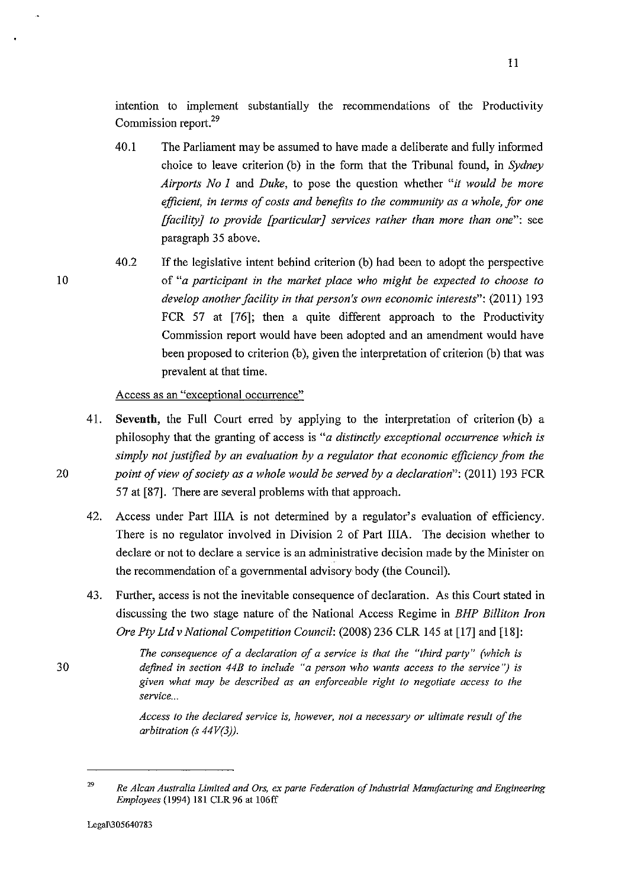intention to implement substantially the recommendations of the Productivity Commission report.<sup>29</sup>

- 40.1 The Parliament may be assumed to have made a deliberate and fully informed choice to leave criterion (b) in the form that the Tribunal found, in *Sydney Airports No 1* and *Duke,* to pose the question whether "it *would be more efficient,* in *terms of costs and benefits to the community as a whole, for one [facility] to provide [particular] services rather than more than one":* see paragraph 35 above.
- 40.2 If the legislative intent behind criterion (b) had been to adopt the perspective of *"a participant* in *the market place who might be expected to choose to develop another facility* in *that person's own economic interests":* (2011) 193 FCR 57 at [76]; then a quite different approach to the Productivity Commission report would have been adopted and an amendment would have been proposed to criterion (b), given the interpretation of criterion (b) that was prevalent at that time.

#### **Access as an "exceptional occurrence"**

- 41. **Seventh,** the Full Court erred by applying to the interpretation of criterion (b) a philosophy that the granting of access is *"a distinctly exceptional occurrence which* is *simply not justified by an evaluation by a regulator that economic efficiency from the*  20 *point of* view *of society as a whole would be served by a declaration":* (2011) 193 FCR 57 at [87]. There are several problems with that approach.
	- 42. Access under Part lilA is not determined by a regulator's evaluation of efficiency. There is no regulator involved in Division 2 of Part lilA. The decision whether to declare or not to declare a service is an administrative decision made by the Minister on the recommendation of a governmental advisory body (the Council).
	- 43. Further, access is not the inevitable consequence of declaration. As this Court stated in discussing the two stage nature of the National Access Regime in *BHP Billiton Iron Ore Pty Ltd v National Competition Council:* (2008) 236 CLR 145 at [17] and [18]:

*The consequence of a declaration of a service is that the "third party" (which is defined in section 44B to include "a person who wants access to the service") is given what may be described as an enforceable right to negotiate access to the service ...* 

*Access to the declared service is, however, not a necessary or ultimate result of the arbitration (s 44V(3)).* 

30

10

<sup>29</sup>  *ReA lean Australia Limited and Ors, ex parte Federation of Industrial Manufacturing and Engineering Employees* (1994) 181 CLR 96 at 106ff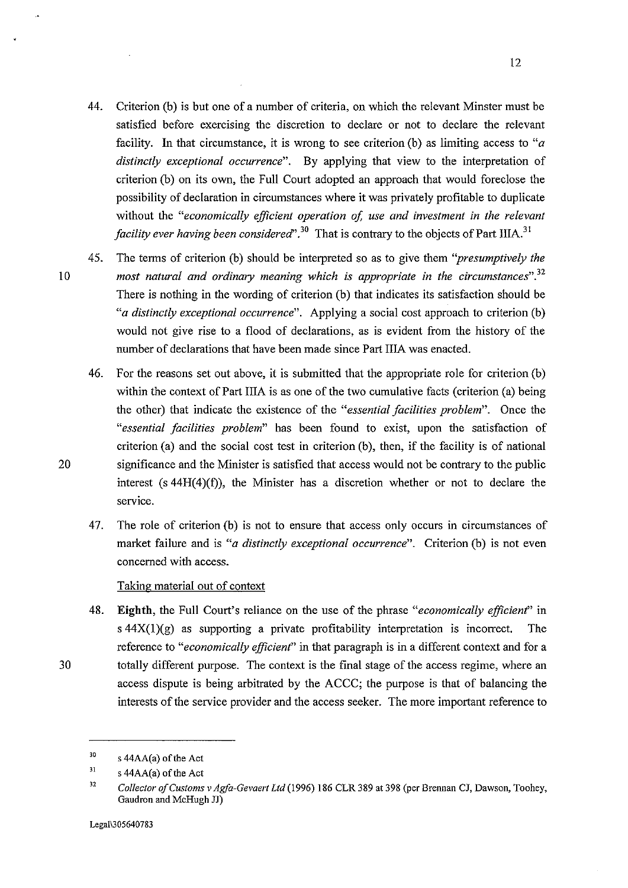- 44. Criterion (b) is but one of a number of criteria, on which the relevant Minster must be satisfied before exercising the discretion to declare or not to declare the relevant facility. In that circumstance, it is wrong to see criterion (b) as limiting access to *"a distinctly exceptional occurrence".* By applying that view to the interpretation of criterion (b) on its own, the Full Court adopted an approach that would foreclose the possibility of declaration in circumstances where it was privately profitable to duplicate without the *"economically efficient operation of, use and investment* in *the relevant facility ever having been considered*".<sup>30</sup> That is contrary to the objects of Part IIIA.<sup>31</sup>
- 45. The terms of criterion (b) should be interpreted so as to give them *"presumptively the*  10 *most natural and ordinary meaning which* is *appropriate* in *the circumstances".<sup>32</sup>* There is nothing in the wording of criterion (b) that indicates its satisfaction should be *"a distinctly exceptional occurrence".* Applying a social cost approach to criterion (b) would not give rise to a flood of declarations, as is evident from the history of the number of declarations that have been made since Part IIIA was enacted.
- 46. For the reasons set out above, it is submitted that the appropriate role for criterion (b) within the context of Part IIIA is as one of the two cumulative facts (criterion (a) being the other) that indicate the existence of the *"essential facilities problem".* Once the *"essential facilities problem"* has been found to exist, upon the satisfaction of criterion (a) and the social cost test in criterion (b), then, if the facility is of national 20 significance and the Minister is satisfied that access would not be contrary to the public interest (s 44H(4)(f)), the Minister has a discretion whether or not to declare the service.
	- 47. The role of criterion (b) is not to ensure that access only occurs in circumstances of market failure and is *"a distinctly exceptional occurrence".* Criterion (b) is not even concerned with access.

# Taking material out of context

48. **Eighth,** the Full Court's reliance on the use of the phrase *"economically efficient'* in s 44X(l)(g) as supporting a private profitability interpretation is incorrect. The reference to *"economically efficient''* in that paragraph is in a different context and for a 30 totally different purpose. The context is the final stage of the access regime, where an access dispute is being arbitrated by the ACCC; the purpose is that of balancing the interests of the service provider and the access seeker. The more important reference to

<sup>30</sup>  s 44AA(a) of the Act

<sup>31</sup>  s 44AA(a) of the Act

<sup>32</sup>  *Collector of Customs v Ag[a-Gevaert Ltd* (1996) 186 CLR 389 at 398 (per Brennan CJ, Dawson, Toohey, Gaudron and McHugh JJ)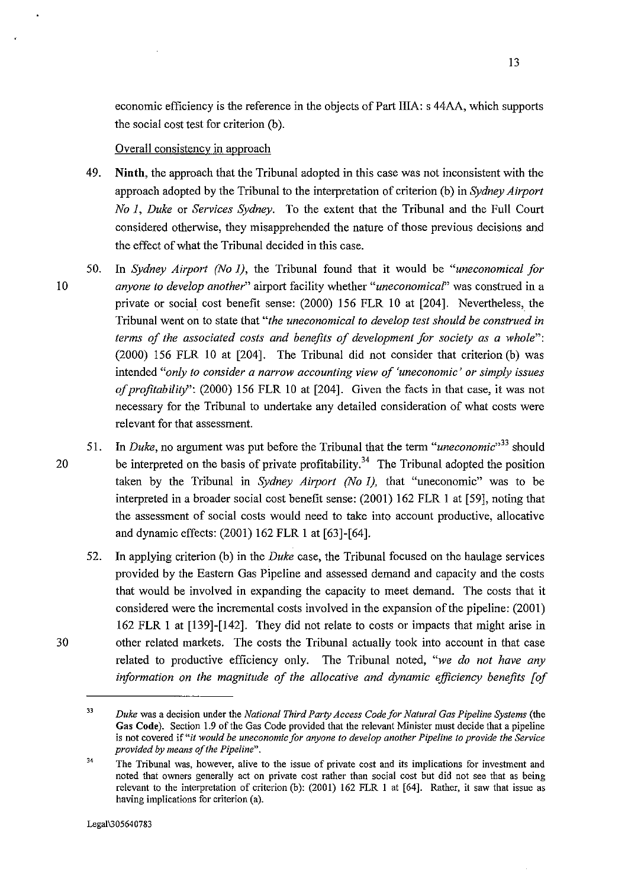economic efficiency is the reference in the objects of Part IliA: s 44AA, which supports the social cost test for criterion (b).

#### Overall consistency in approach

- 49. **Ninth,** the approach that the Tribunal adopted in this case was not inconsistent with the approach adopted by the Tribunal to the interpretation of criterion (b) in *Sydney Airport No 1, Duke* or *Services Sydney.* To the extent that the Tribunal and the Full Court considered otherwise, they misapprehended the nature of those previous decisions and the effect of what the Tribunal decided in this case.
- 50. In *Sydney Airport (No* 1), the Tribunal found that it would be *"uneconomical for*  10 *anyone to develop another"* airport facility whether *"uneconomical"* was construed in a private or social cost benefit sense: (2000) !56 FLR 10 at [204]. Nevertheless, the Tribunal went on to state that *"the uneconomical to develop test should be construed in terms of the associated costs and benefits of development for society as a whole":*  (2000) 156 FLR 10 at [204]. The Tribunal did not consider that criterion (b) was intended *"only to consider a narrow accounting view of 'uneconomic' or simply issues of profitability*": (2000) 156 FLR 10 at [204]. Given the facts in that case, it was not necessary for the Tribunal to undertake any detailed consideration of what costs were relevant for that assessment.
- 51. In *Duke,* no argument was put before the Tribunal that the term *"uneconomic"<sup>33</sup>*should 20 be interpreted on the basis of private profitability.<sup>34</sup> The Tribunal adopted the position taken by the Tribunal in *Sydney Airport (No* 1), that "uneconomic" was to be interpreted in a broader social cost benefit sense: (2001) 162 FLR 1 at [59], noting that the assessment of social costs would need to take into account productive, allocative and dynamic effects: (2001) 162 FLR 1 at [63]-[64].
- 52. In applying criterion (b) in the *Duke* case, the Tribunal focused on the haulage services provided by the Eastern Gas Pipeline and assessed demand and capacity and the costs that would be involved in expanding the capacity to meet demand. The costs that it considered were the incremental costs involved in the expansion of the pipeline: (2001) 162 FLR 1 at [139]-[142]. They did not relate to costs or impacts that might arise in 30 other related markets. The costs the Tribunal actually took into account in that case related to productive efficiency only. The Tribunal noted, *"we do not have any information on the magnitude of the allocative and dynamic efficiency benefits [of*

<sup>33</sup>  *Duke* was a decision under the *National Third Party Access Code for Natural Gas Pipeline Systems* (the Gas Code). Section 1.9 of the Gas Code provided that the relevant Minister must decide that a pipeline **is not covered if** *"it would be uneconomic for anyone to develop another Pipeline to provide the Service provided by means of the Pipeline".* 

<sup>34</sup>  **The Tribunal was, however, alive to the issue of private cost and its implications for investment and noted that owners generally act on private cost rather than social cost but did not see that as being**  relevant to the interpretation of criterion (b): (2001) 162 FLR I at [64]. Rather, it saw that issue as **having implications for criterion (a).**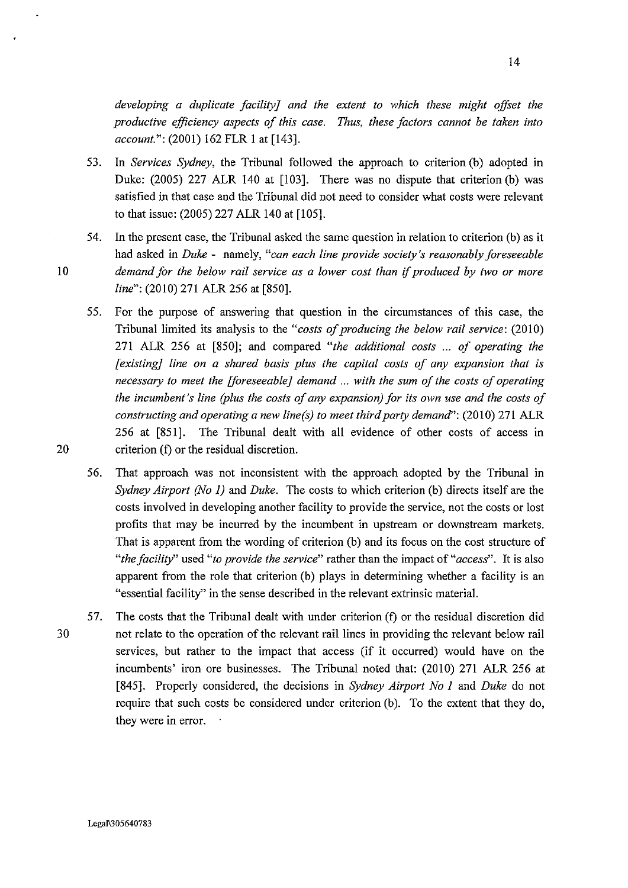*developing a duplicate facility} and the extent to which these might offset the productive efficiency aspects of this case. Thus, these factors cannot be taken into account.":* (2001) 162 FLR 1 at [143].

- 53. In *Services Sydney,* the Tribunal followed the approach to criterion (b) adopted in Duke: (2005) 227 ALR 140 at [103]. There was no dispute that criterion (b) was satisfied in that case and the Tribunal did not need to consider what costs were relevant to that issue: (2005) 227 ALR 140 at [105].
- 54. In the present case, the Tribunal asked the same question in relation to criterion (b) as it had asked in *Duke* - namely, *"can each line provide society's reasonably foreseeable*  <sup>10</sup>*demand for the below rail service as a lower cost than* if *produced by two or more line*": (2010) 271 ALR 256 at [850].
- 55. For the purpose of answering that question in the circumstances of this case, the Tribunal limited its analysis to the *"costs of producing the below rail service:* (2010) 271 ALR 256 at [850]; and compared *"the additional costs* ... *of operating the [existing} line on a shared basis plus the capital costs of any expansion that is necessary to meet the [foreseeable] demand ... with the sum of the costs of operating the incumbent's line (plus the costs of any expansion) for its own use and the costs of constructing and operating a new line(s) to meet third party demand*": (2010) 271 ALR 256 at [851]. The Tribunal dealt with all evidence of other costs of access in 20 criterion (f) or the residual discretion.
	- 56. That approach was not inconsistent with the approach adopted by the Tribunal in *Sydney Airport (No 1)* and *Duke.* The costs to which criterion (b) directs itself are the costs involved in developing another facility to provide the service, not the costs or lost profits that may be incurred by the incumbent in upstream or downstream markets. That is apparent from the wording of criterion (b) and its focus on the cost structure of *"the facility"* used *"to provide the service"* rather than the impact of *"access".* It is also apparent from the role that criterion (b) plays in determining whether a facility is an "essential facility" in the sense described in the relevant extrinsic material.
- 57. The costs that the Tribunal dealt with under criterion (f) or the residual discretion did 30 not relate to the operation of the relevant rail lines in providing the relevant below rail services, but rather to the impact that access (if it occurred) would have on the incumbents' iron ore businesses. The Tribunal noted that: (2010) 271 ALR 256 at [845]. Properly considered, the decisions in *Sydney Airport No I* and *Duke* do not require that such costs be considered under criterion (b). To the extent that they do, they were in error.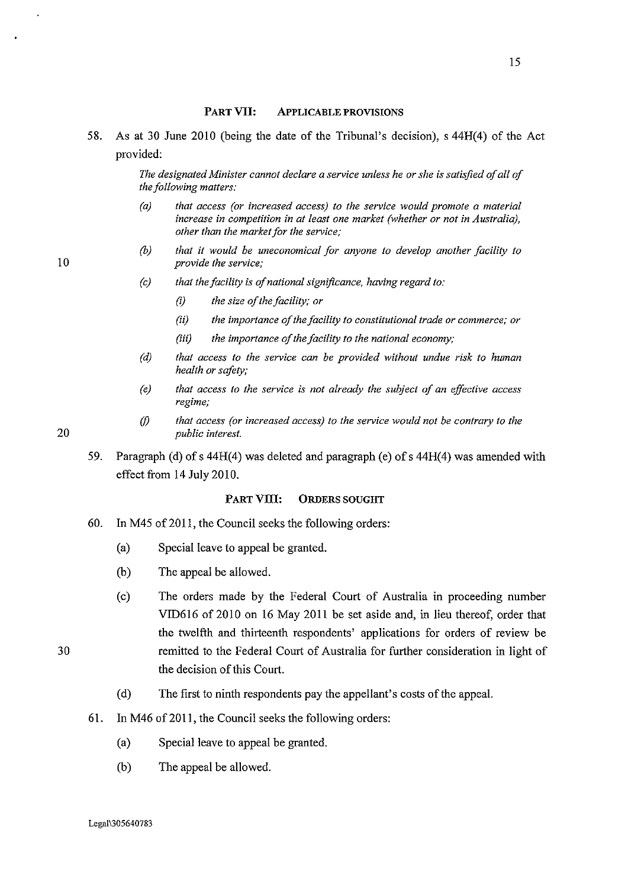#### PART VII: APPLICABLE PROVISIONS

58. As at 30 June 2010 (being the date of the Tribunal's decision), s 44H(4) of the Act provided:

> *The designated Minister cannot declare a service unless he or she is satisfied of all of the following matters:*

- *(a) that access (or increased access) to the service would promote a material increase in competition in at least one market (whether or not in Australia), other than the market for the service;*
- *(b) that it would be uneconomical for anyone to develop another facility to provide the service;*
- *(c) that the facility is of national significance, having regard to:* 
	- (i) *the size of the facility; or*
	- (ii) *the importance of the facility to constitutional trade or commerce; or*
	- (iii) *the importance of the facility to the national economy;*
- *(d) that access to the service can be provided without undue risk to human health or safety;*
- *(e) that access to the service is not already the subject of an effective access regime;*
- *(/) that access (or increased access) to the service would not be contrary to the public interest.*
- 59. Paragraph (d) of s  $44H(4)$  was deleted and paragraph (e) of s  $44H(4)$  was amended with effect from 14 July 2010.

## PART VIII: ORDERS SOUGHT

- 60. In M45 of 2011, the Council seeks the following orders:
	- (a) Special leave to appeal be granted.
	- (b) The appeal be allowed.
	- (c) The orders made by the Federal Court of Australia in proceeding number VID616 of 2010 on 16 May 2011 be set aside and, in lieu thereof, order that the twelfth and thirteenth respondents' applications for orders of review be remitted to the Federal Court of Australia for further consideration in light of the decision of this Court.
	- (d) The first to ninth respondents pay the appellant's costs of the appeal.
- 61. In M46 of 2011, the Council seeks the following orders:
	- (a) Special leave to appeal be granted.
	- (b) The appeal be allowed.

10

20